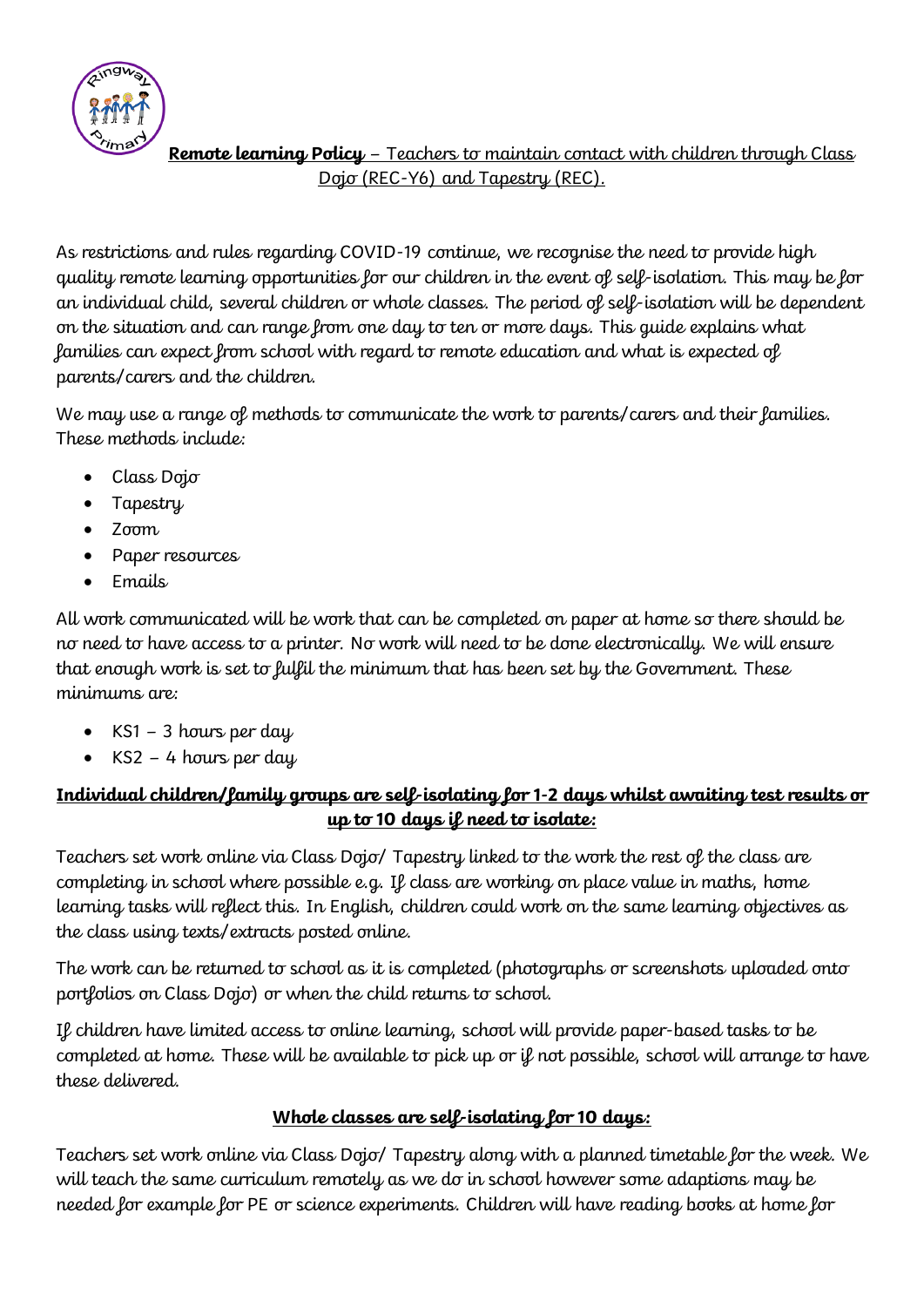

# **Remote learning Policy** – Teachers to maintain contact with children through Class Dojo (REC-Y6) and Tapestry (REC).

As restrictions and rules regarding COVID-19 continue, we recognise the need to provide high quality remote learning opportunities for our children in the event of self-isolation. This may be for an individual child, several children or whole classes. The period of self-isolation will be dependent on the situation and can range from one day to ten or more days. This guide explains what families can expect from school with regard to remote education and what is expected of parents/carers and the children.

We may use a range of methods to communicate the work to parents/carers and their families. These methods include:

- Class Dojo
- Tapestry
- Zoom
- Paper resources
- Emails

All work communicated will be work that can be completed on paper at home so there should be no need to have access to a printer. No work will need to be done electronically. We will ensure that enough work is set to fulfil the minimum that has been set by the Government. These minimums are:

- $KS1 3$  hours per day
- KS2 4 hours per day

# **Individual children/family groups are self-isolating for 1-2 days whilst awaiting test results or up to 10 days if need to isolate:**

Teachers set work online via Class Dojo/ Tapestry linked to the work the rest of the class are completing in school where possible e.g. If class are working on place value in maths, home learning tasks will reflect this. In English, children could work on the same learning objectives as the class using texts/extracts posted online.

The work can be returned to school as it is completed (photographs or screenshots uploaded onto portfolios on Class Dojo) or when the child returns to school.

If children have limited access to online learning, school will provide paper-based tasks to be completed at home. These will be available to pick up or if not possible, school will arrange to have these delivered.

#### **Whole classes are self-isolating for 10 days:**

Teachers set work online via Class Dojo/ Tapestry along with a planned timetable for the week. We will teach the same curriculum remotely as we do in school however some adaptions may be needed for example for PE or science experiments. Children will have reading books at home for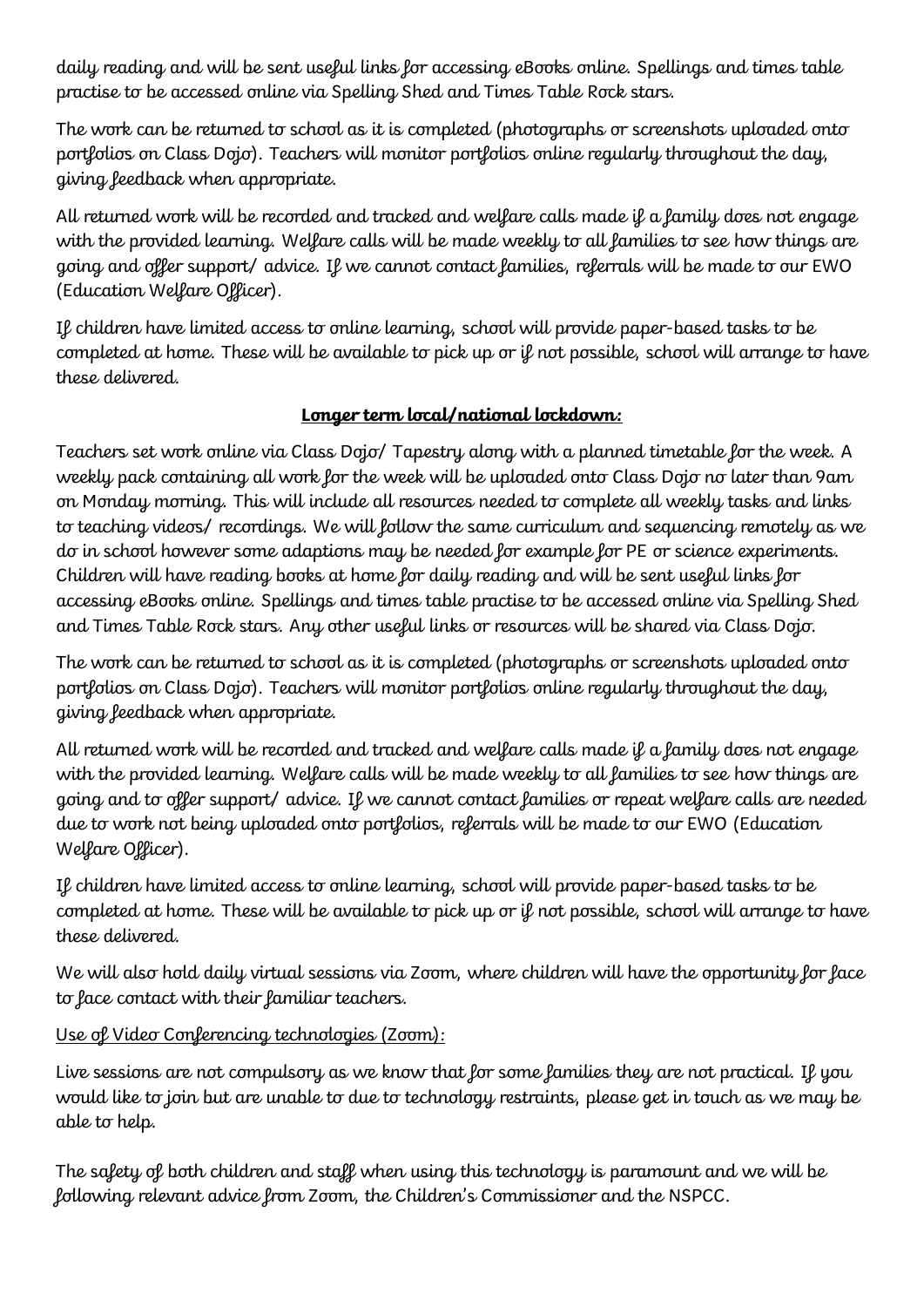daily reading and will be sent useful links for accessing eBooks online. Spellings and times table practise to be accessed online via Spelling Shed and Times Table Rock stars.

The work can be returned to school as it is completed (photographs or screenshots uploaded onto portfolios on Class Dojo). Teachers will monitor portfolios online regularly throughout the day, giving feedback when appropriate.

All returned work will be recorded and tracked and welfare calls made if a family does not engage with the provided learning. Welfare calls will be made weekly to all families to see how things are going and offer support/ advice. If we cannot contact families, referrals will be made to our EWO (Education Welfare Officer).

If children have limited access to online learning, school will provide paper-based tasks to be completed at home. These will be available to pick up or if not possible, school will arrange to have these delivered.

## **Longer term local/national lockdown:**

Teachers set work online via Class Dojo/ Tapestry along with a planned timetable for the week. A weekly pack containing all work for the week will be uploaded onto Class Dojo no later than 9am on Monday morning. This will include all resources needed to complete all weekly tasks and links to teaching videos/ recordings. We will follow the same curriculum and sequencing remotely as we do in school however some adaptions may be needed for example for PE or science experiments. Children will have reading books at home for daily reading and will be sent useful links for accessing eBooks online. Spellings and times table practise to be accessed online via Spelling Shed and Times Table Rock stars. Any other useful links or resources will be shared via Class Dojo.

The work can be returned to school as it is completed (photographs or screenshots uploaded onto portfolios on Class Dojo). Teachers will monitor portfolios online regularly throughout the day, giving feedback when appropriate.

All returned work will be recorded and tracked and welfare calls made if a family does not engage with the provided learning. Welfare calls will be made weekly to all families to see how things are going and to offer support/ advice. If we cannot contact families or repeat welfare calls are needed due to work not being uploaded onto portfolios, referrals will be made to our EWO (Education Welfare Officer).

If children have limited access to online learning, school will provide paper-based tasks to be completed at home. These will be available to pick up or if not possible, school will arrange to have these delivered.

We will also hold daily virtual sessions via Zoom, where children will have the opportunity for face to face contact with their familiar teachers.

# Use of Video Conferencing technologies (Zoom):

Live sessions are not compulsory as we know that for some families they are not practical. If you would like to join but are unable to due to technology restraints, please get in touch as we may be able to help.

The safety of both children and staff when using this technology is paramount and we will be following relevant advice from Zoom, the Children's Commissioner and the NSPCC.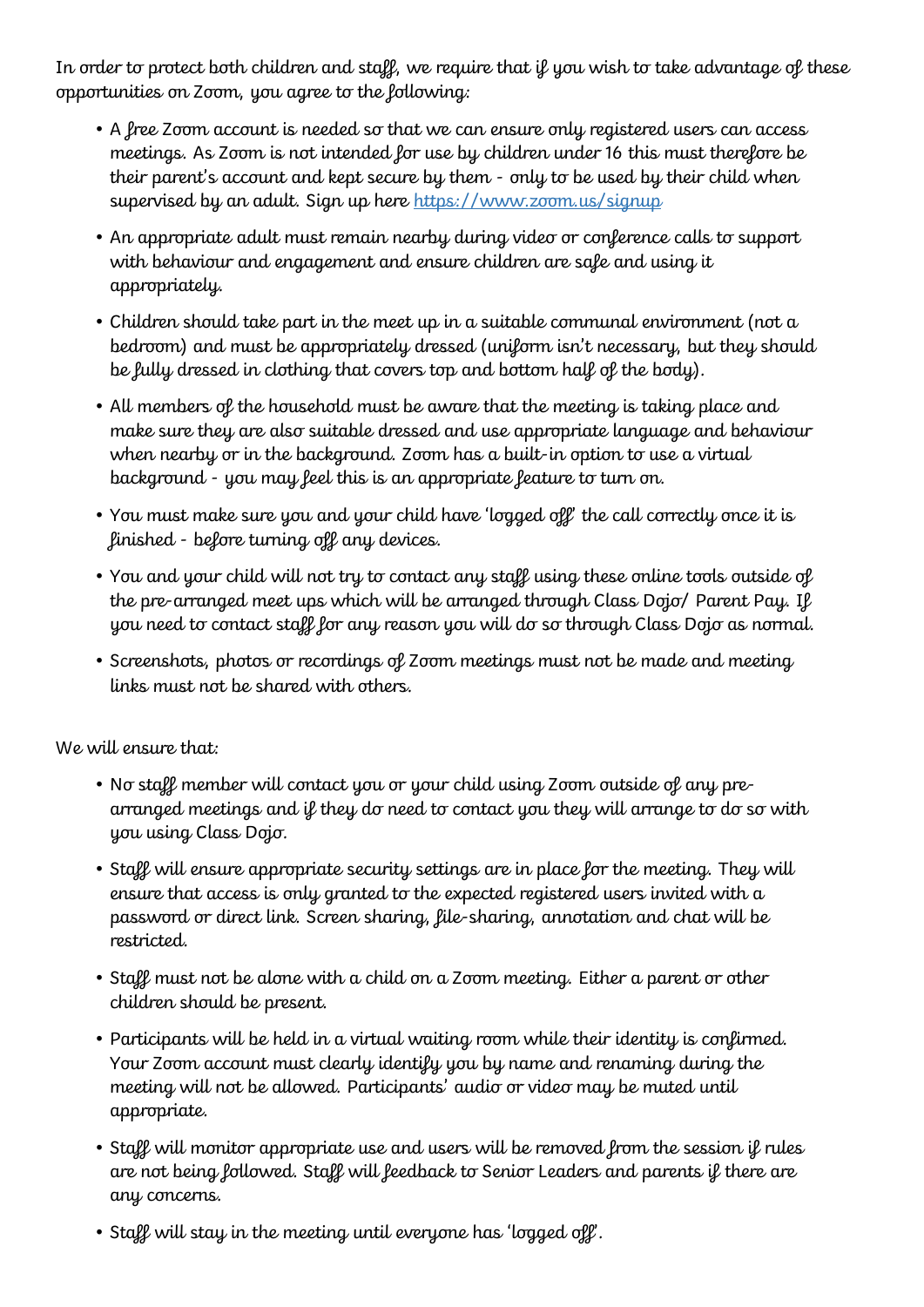In order to protect both children and staff, we require that if you wish to take advantage of these opportunities on Zoom, you agree to the following:

- A free Zoom account is needed so that we can ensure only registered users can access meetings. As Zoom is not intended for use by children under 16 this must therefore be their parent's account and kept secure by them - only to be used by their child when supervised by an adult. Sign up here<https://www.zoom.us/signup>
- An appropriate adult must remain nearby during video or conference calls to support with behaviour and engagement and ensure children are safe and using it appropriately.
- Children should take part in the meet up in a suitable communal environment (not a bedroom) and must be appropriately dressed (uniform isn't necessary, but they should be fully dressed in clothing that covers top and bottom half of the body).
- All members of the household must be aware that the meeting is taking place and make sure they are also suitable dressed and use appropriate language and behaviour when nearby or in the background. Zoom has a built-in option to use a virtual background - you may feel this is an appropriate feature to turn on.
- You must make sure you and your child have 'logged off' the call correctly once it is finished - before turning off any devices.
- You and your child will not try to contact any staff using these online tools outside of the pre-arranged meet ups which will be arranged through Class Dojo/ Parent Pay. If you need to contact staff for any reason you will do so through Class Dojo as normal.
- Screenshots, photos or recordings of Zoom meetings must not be made and meeting links must not be shared with others.

We will ensure that:

- No staff member will contact you or your child using Zoom outside of any prearranged meetings and if they do need to contact you they will arrange to do so with you using Class Dojo.
- Staff will ensure appropriate security settings are in place for the meeting. They will ensure that access is only granted to the expected registered users invited with a password or direct link. Screen sharing, file-sharing, annotation and chat will be restricted.
- Staff must not be alone with a child on a Zoom meeting. Either a parent or other children should be present.
- Participants will be held in a virtual waiting room while their identity is confirmed. Your Zoom account must clearly identify you by name and renaming during the meeting will not be allowed. Participants' audio or video may be muted until appropriate.
- Staff will monitor appropriate use and users will be removed from the session if rules are not being followed. Staff will feedback to Senior Leaders and parents if there are any concerns.
- Staff will stay in the meeting until everyone has 'logged off'.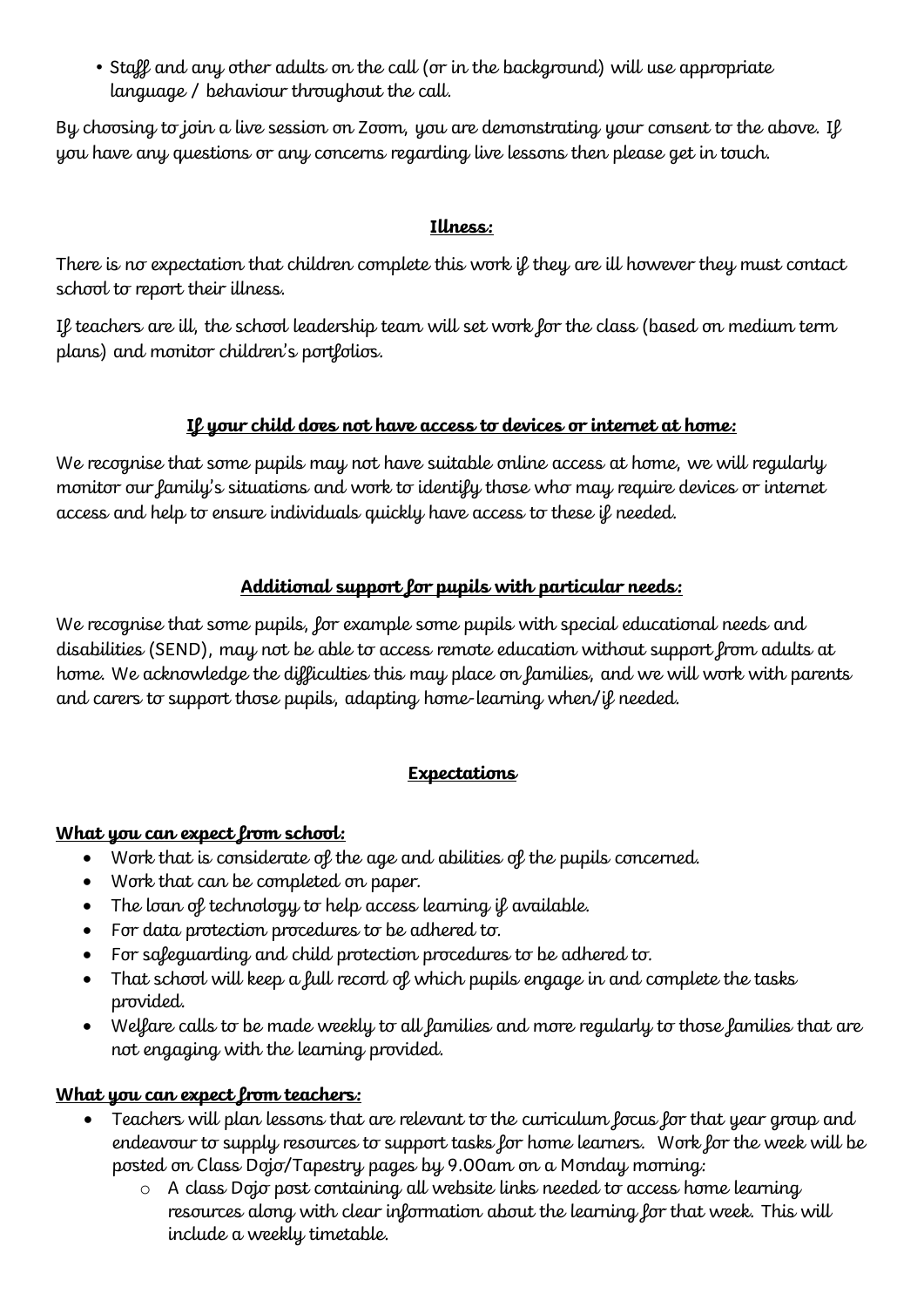• Staff and any other adults on the call (or in the background) will use appropriate language / behaviour throughout the call.

By choosing to join a live session on Zoom, you are demonstrating your consent to the above. If you have any questions or any concerns regarding live lessons then please get in touch.

### **Illness:**

There is no expectation that children complete this work if they are ill however they must contact school to report their illness.

If teachers are ill, the school leadership team will set work for the class (based on medium term plans) and monitor children's portfolios.

### **If your child does not have access to devices or internet at home:**

We recognise that some pupils may not have suitable online access at home, we will regularly monitor our family's situations and work to identify those who may require devices or internet access and help to ensure individuals quickly have access to these if needed.

### **Additional support for pupils with particular needs:**

We recognise that some pupils, for example some pupils with special educational needs and disabilities (SEND), may not be able to access remote education without support from adults at home. We acknowledge the difficulties this may place on families, and we will work with parents and carers to support those pupils, adapting home-learning when/if needed.

## **Expectations**

#### **What you can expect from school:**

- Work that is considerate of the age and abilities of the pupils concerned.
- Work that can be completed on paper.
- The loan of technology to help access learning if available.
- For data protection procedures to be adhered to.
- For safeguarding and child protection procedures to be adhered to.
- That school will keep a full record of which pupils engage in and complete the tasks provided.
- Welfare calls to be made weekly to all families and more regularly to those families that are not engaging with the learning provided.

#### **What you can expect from teachers:**

- Teachers will plan lessons that are relevant to the curriculum focus for that year group and endeavour to supply resources to support tasks for home learners. Work for the week will be posted on Class Dojo/Tapestry pages by 9.00am on a Monday morning:
	- o A class Dojo post containing all website links needed to access home learning resources along with clear information about the learning for that week. This will include a weekly timetable.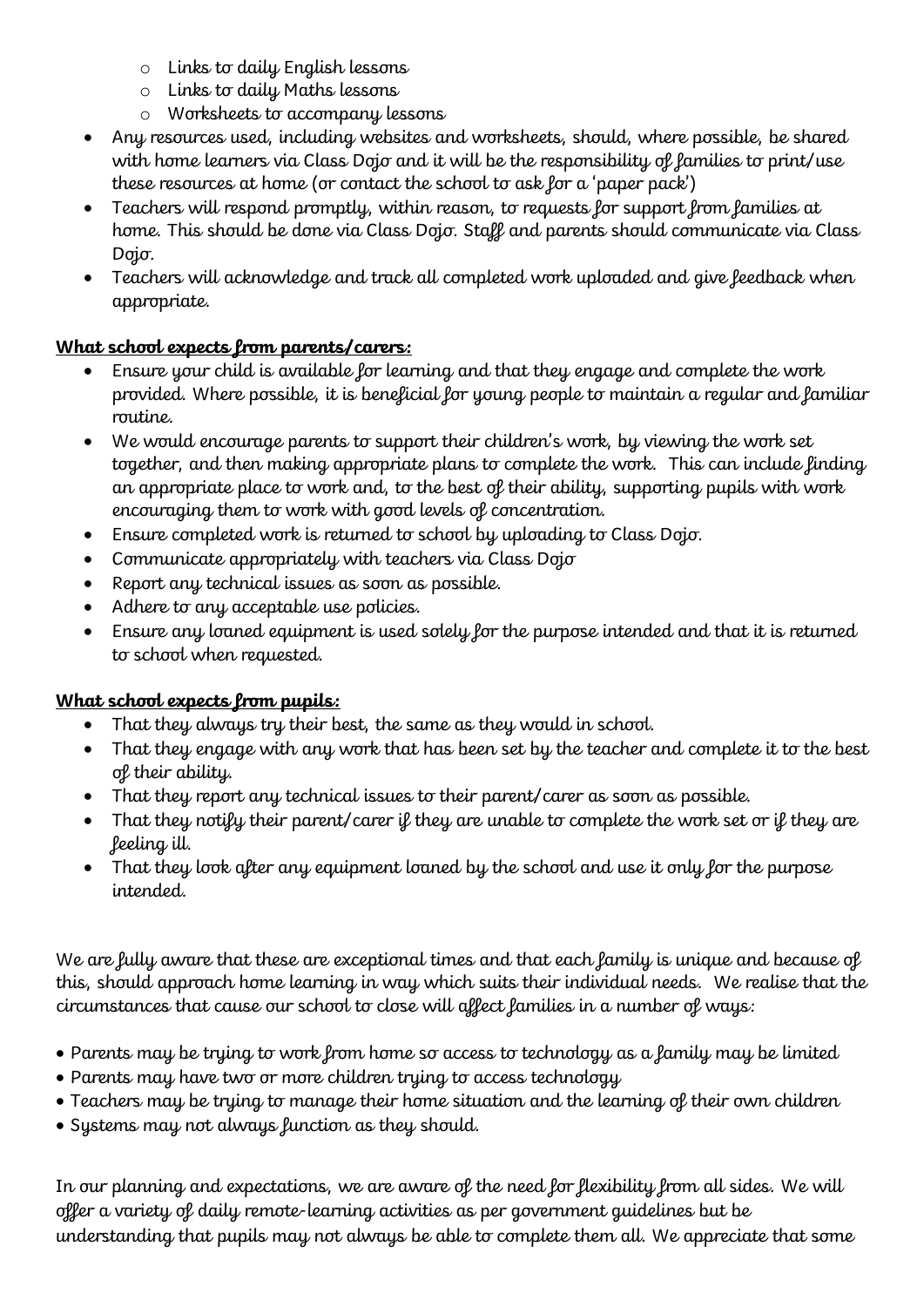- o Links to daily English lessons
- o Links to daily Maths lessons
- o Worksheets to accompany lessons
- Any resources used, including websites and worksheets, should, where possible, be shared with home learners via Class Dojo and it will be the responsibility of families to print/use these resources at home (or contact the school to ask for a 'paper pack')
- Teachers will respond promptly, within reason, to requests for support from families at home. This should be done via Class Dojo. Staff and parents should communicate via Class Dojo.
- Teachers will acknowledge and track all completed work uploaded and give feedback when appropriate.

# **What school expects from parents/carers:**

- Ensure your child is available for learning and that they engage and complete the work provided. Where possible, it is beneficial for young people to maintain a regular and familiar routine.
- We would encourage parents to support their children's work, by viewing the work set together, and then making appropriate plans to complete the work. This can include finding an appropriate place to work and, to the best of their ability, supporting pupils with work encouraging them to work with good levels of concentration.
- Ensure completed work is returned to school by uploading to Class Dojo.
- Communicate appropriately with teachers via Class Dojo
- Report any technical issues as soon as possible.
- Adhere to any acceptable use policies.
- Ensure any loaned equipment is used solely for the purpose intended and that it is returned to school when requested.

## **What school expects from pupils:**

- That they always try their best, the same as they would in school.
- That they engage with any work that has been set by the teacher and complete it to the best of their ability.
- That they report any technical issues to their parent/carer as soon as possible.
- That they notify their parent/carer if they are unable to complete the work set or if they are feeling ill.
- That they look after any equipment loaned by the school and use it only for the purpose intended.

We are fully aware that these are exceptional times and that each family is unique and because of this, should approach home learning in way which suits their individual needs. We realise that the circumstances that cause our school to close will affect families in a number of ways:

- Parents may be trying to work from home so access to technology as a family may be limited
- Parents may have two or more children trying to access technology
- Teachers may be trying to manage their home situation and the learning of their own children
- Systems may not always function as they should.

In our planning and expectations, we are aware of the need for flexibility from all sides. We will offer a variety of daily remote-learning activities as per government guidelines but be understanding that pupils may not always be able to complete them all. We appreciate that some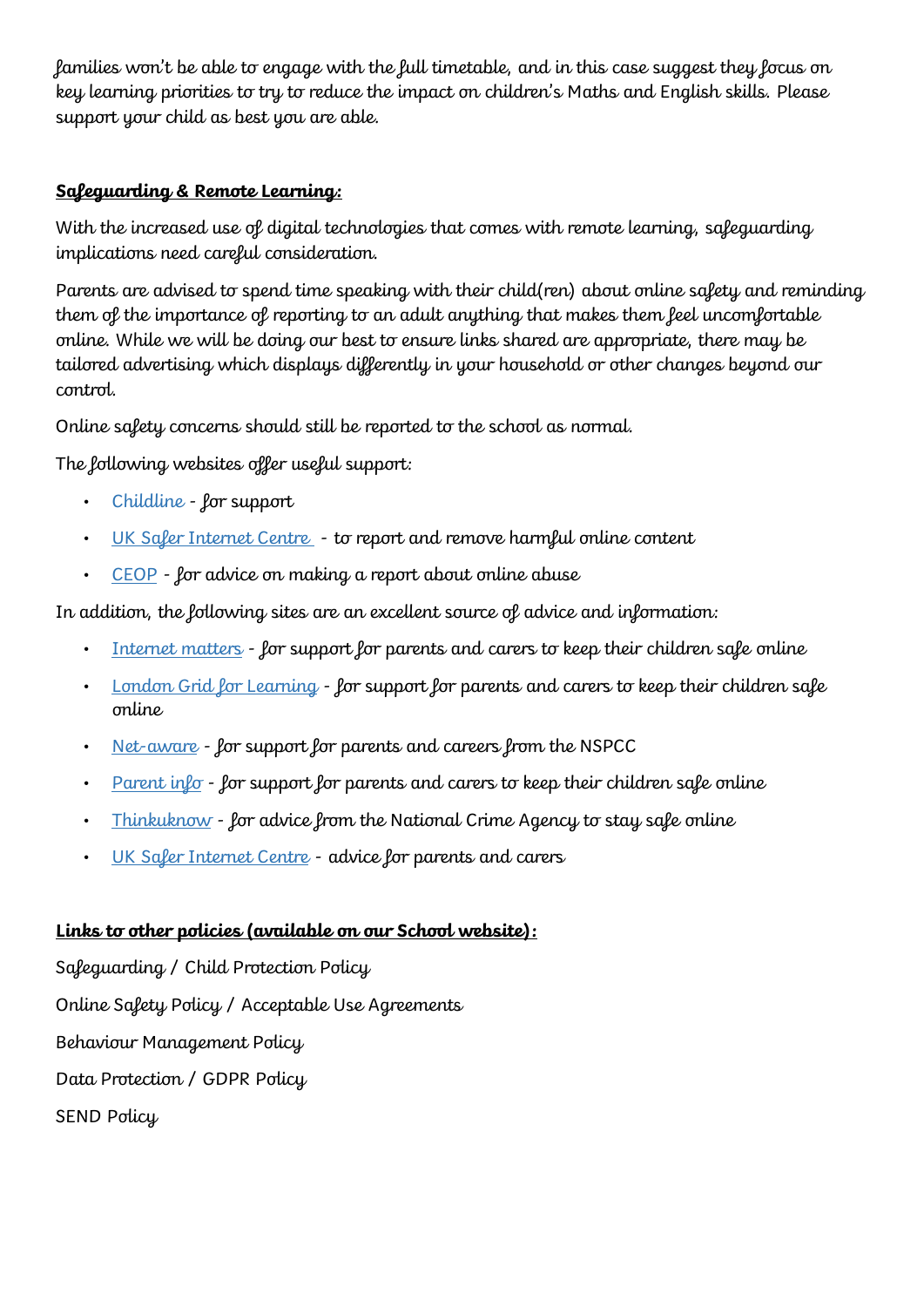families won't be able to engage with the full timetable, and in this case suggest they focus on key learning priorities to try to reduce the impact on children's Maths and English skills. Please support your child as best you are able.

#### **Safeguarding & Remote Learning:**

With the increased use of digital technologies that comes with remote learning, safeguarding implications need careful consideration.

Parents are advised to spend time speaking with their child(ren) about online safety and reminding them of the importance of reporting to an adult anything that makes them feel uncomfortable online. While we will be doing our best to ensure links shared are appropriate, there may be tailored advertising which displays differently in your household or other changes beyond our control.

Online safety concerns should still be reported to the school as normal.

The following websites offer useful support:

- [Childline](https://www.childline.org.uk/?utm_source=google&utm_medium=cpc&utm_campaign=UK_GO_S_B_BND_Grant_Childline_Information&utm_term=role_of_childline&gclsrc=aw.ds&&gclid=EAIaIQobChMIlfLRh-ez6AIVRrDtCh1N9QR2EAAYASAAEgLc-vD_BwE&gclsrc=aw.ds) [-](https://www.childline.org.uk/?utm_source=google&utm_medium=cpc&utm_campaign=UK_GO_S_B_BND_Grant_Childline_Information&utm_term=role_of_childline&gclsrc=aw.ds&&gclid=EAIaIQobChMIlfLRh-ez6AIVRrDtCh1N9QR2EAAYASAAEgLc-vD_BwE&gclsrc=aw.ds) for support
- [UK Safer Internet Centre](https://reportharmfulcontent.com/) to report and remove harmful online content
- [CEOP](https://www.ceop.police.uk/safety-centre/) for advice on making a report about online abuse

In addition, the following sites are an excellent source of advice and information:

- [Internet matters](https://www.internetmatters.org/?gclid=EAIaIQobChMIktuA5LWK2wIVRYXVCh2afg2aEAAYASAAEgIJ5vD_BwE) [-](https://www.internetmatters.org/?gclid=EAIaIQobChMIktuA5LWK2wIVRYXVCh2afg2aEAAYASAAEgIJ5vD_BwE) for support for parents and carers to keep their children safe online
- [London Grid for Learning](http://www.lgfl.net/online-safety/) for support for parents and carers to keep their children safe online
- [Net-aware](https://www.net-aware.org.uk/) [-](https://www.net-aware.org.uk/) for support for parents and careers from the NSPCC
- Parent  $in\ell\sigma$  [-](https://parentinfo.org/) for support for parents and carers to keep their children safe online
- [Thinkuknow](http://www.thinkuknow.co.uk/) [-](http://www.thinkuknow.co.uk/) for advice from the National Crime Agency to stay safe online
- [UK Safer Internet Centre](https://www.saferinternet.org.uk/advice-centre/parents-and-carers) advice for parents and carers

## **Links to other policies (available on our School website):**

Safeguarding / Child Protection Policy Online Safety Policy / Acceptable Use Agreements Behaviour Management Policy Data Protection / GDPR Policy SEND Policy